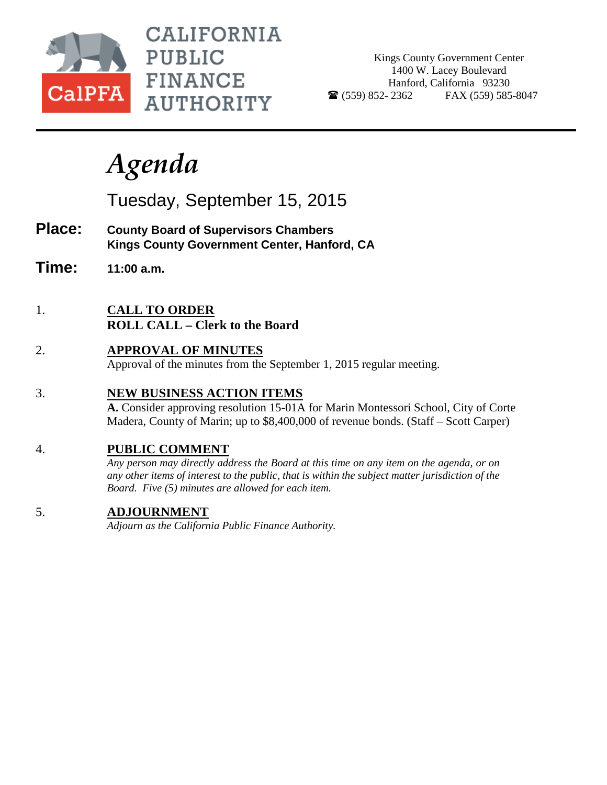

CALIFORNIA **PUBLIC FINANCE AUTHORITY** 

Kings County Government Center 1400 W. Lacey Boulevard Hanford, California 93230  $\bullet$  (559) 852-2362 FAX (559) 585-8047

# *Agenda*

Tuesday, September 15, 2015

- **Place: County Board of Supervisors Chambers Kings County Government Center, Hanford, CA**
- **Time: 11:00 a.m.**
- 1. **CALL TO ORDER ROLL CALL – Clerk to the Board**
- 2. **APPROVAL OF MINUTES** Approval of the minutes from the September 1, 2015 regular meeting.

# 3. **NEW BUSINESS ACTION ITEMS**

**A.** Consider approving resolution 15-01A for Marin Montessori School, City of Corte Madera, County of Marin; up to \$8,400,000 of revenue bonds. (Staff – Scott Carper)

## 4. **PUBLIC COMMENT**

*Any person may directly address the Board at this time on any item on the agenda, or on any other items of interest to the public, that is within the subject matter jurisdiction of the Board. Five (5) minutes are allowed for each item.*

## 5. **ADJOURNMENT**

*Adjourn as the California Public Finance Authority.*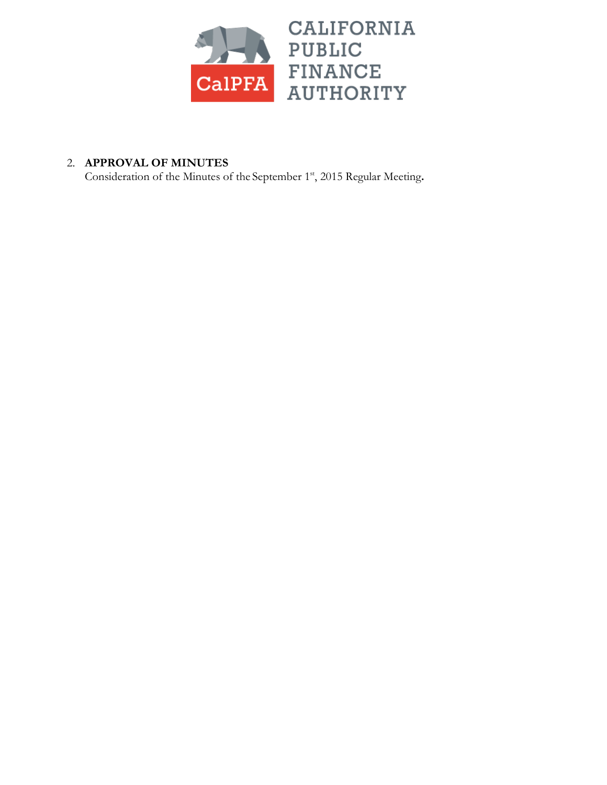

# 2. **APPROVAL OF MINUTES**

Consideration of the Minutes of the September 1<sup>st</sup>, 2015 Regular Meeting.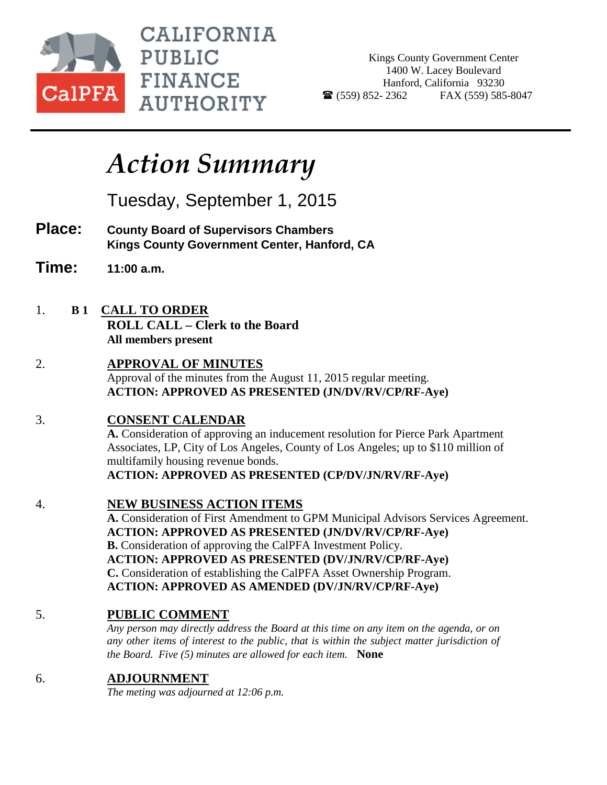

**CALIFORNIA PUBLIC FINANCE AUTHORITY** 

Kings County Government Center 1400 W. Lacey Boulevard Hanford, California 93230  $\bullet$  (559) 852-2362 FAX (559) 585-8047

# *Action Summary*

Tuesday, September 1, 2015

- **Place: County Board of Supervisors Chambers Kings County Government Center, Hanford, CA**
- **Time: 11:00 a.m.**
- 1. **B 1 CALL TO ORDER**
	- **ROLL CALL – Clerk to the Board All members present**
- 2. **APPROVAL OF MINUTES** Approval of the minutes from the August 11, 2015 regular meeting. **ACTION: APPROVED AS PRESENTED (JN/DV/RV/CP/RF-Aye)**

# 3. **CONSENT CALENDAR**

**A.** Consideration of approving an inducement resolution for Pierce Park Apartment Associates, LP, City of Los Angeles, County of Los Angeles; up to \$110 million of multifamily housing revenue bonds. **ACTION: APPROVED AS PRESENTED (CP/DV/JN/RV/RF-Aye)**

## 4. **NEW BUSINESS ACTION ITEMS**

**A.** Consideration of First Amendment to GPM Municipal Advisors Services Agreement. **ACTION: APPROVED AS PRESENTED (JN/DV/RV/CP/RF-Aye) B.** Consideration of approving the CalPFA Investment Policy. **ACTION: APPROVED AS PRESENTED (DV/JN/RV/CP/RF-Aye) C.** Consideration of establishing the CalPFA Asset Ownership Program. **ACTION: APPROVED AS AMENDED (DV/JN/RV/CP/RF-Aye)**

# 5. **PUBLIC COMMENT**

*Any person may directly address the Board at this time on any item on the agenda, or on any other items of interest to the public, that is within the subject matter jurisdiction of the Board. Five (5) minutes are allowed for each item.* **None**

# 6. **ADJOURNMENT**

*The meting was adjourned at 12:06 p.m.*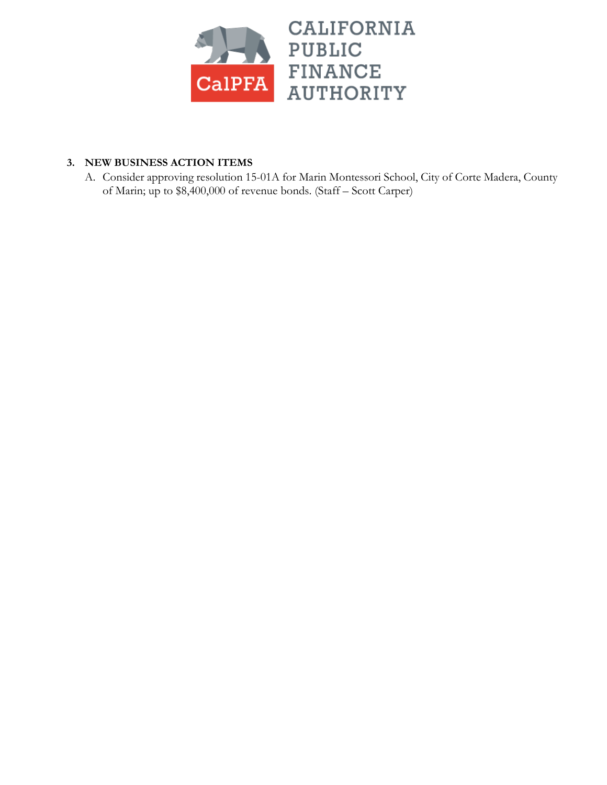

## **3. NEW BUSINESS ACTION ITEMS**

A. Consider approving resolution 15-01A for Marin Montessori School, City of Corte Madera, County of Marin; up to \$8,400,000 of revenue bonds. (Staff – Scott Carper)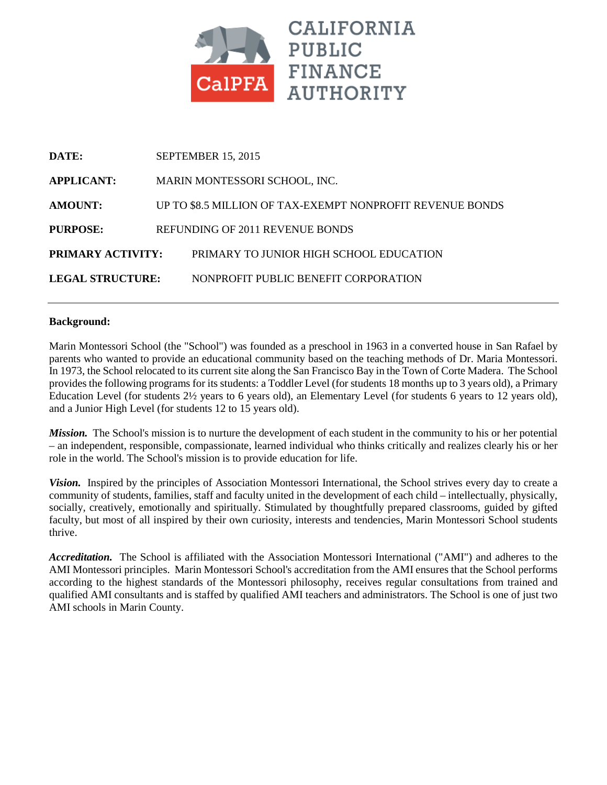

| DATE:                    | <b>SEPTEMBER 15, 2015</b>                                 |                                         |  |
|--------------------------|-----------------------------------------------------------|-----------------------------------------|--|
| <b>APPLICANT:</b>        | MARIN MONTESSORI SCHOOL, INC.                             |                                         |  |
| <b>AMOUNT:</b>           | UP TO \$8.5 MILLION OF TAX-EXEMPT NONPROFIT REVENUE BONDS |                                         |  |
| PURPOSE:                 |                                                           | REFUNDING OF 2011 REVENUE BONDS         |  |
| <b>PRIMARY ACTIVITY:</b> |                                                           | PRIMARY TO JUNIOR HIGH SCHOOL EDUCATION |  |
| <b>LEGAL STRUCTURE:</b>  |                                                           | NONPROFIT PUBLIC BENEFIT CORPORATION    |  |

#### **Background:**

Marin Montessori School (the "School") was founded as a preschool in 1963 in a converted house in San Rafael by parents who wanted to provide an educational community based on the teaching methods of Dr. Maria Montessori. In 1973, the School relocated to its current site along the San Francisco Bay in the Town of Corte Madera. The School provides the following programs for its students: a Toddler Level (for students 18 months up to 3 years old), a Primary Education Level (for students 2½ years to 6 years old), an Elementary Level (for students 6 years to 12 years old), and a Junior High Level (for students 12 to 15 years old).

*Mission.* The School's mission is to nurture the development of each student in the community to his or her potential – an independent, responsible, compassionate, learned individual who thinks critically and realizes clearly his or her role in the world. The School's mission is to provide education for life.

*Vision.* Inspired by the principles of Association Montessori International, the School strives every day to create a community of students, families, staff and faculty united in the development of each child – intellectually, physically, socially, creatively, emotionally and spiritually. Stimulated by thoughtfully prepared classrooms, guided by gifted faculty, but most of all inspired by their own curiosity, interests and tendencies, Marin Montessori School students thrive.

*Accreditation.* The School is affiliated with the Association Montessori International ("AMI") and adheres to the AMI Montessori principles. Marin Montessori School's accreditation from the AMI ensures that the School performs according to the highest standards of the Montessori philosophy, receives regular consultations from trained and qualified AMI consultants and is staffed by qualified AMI teachers and administrators. The School is one of just two AMI schools in Marin County.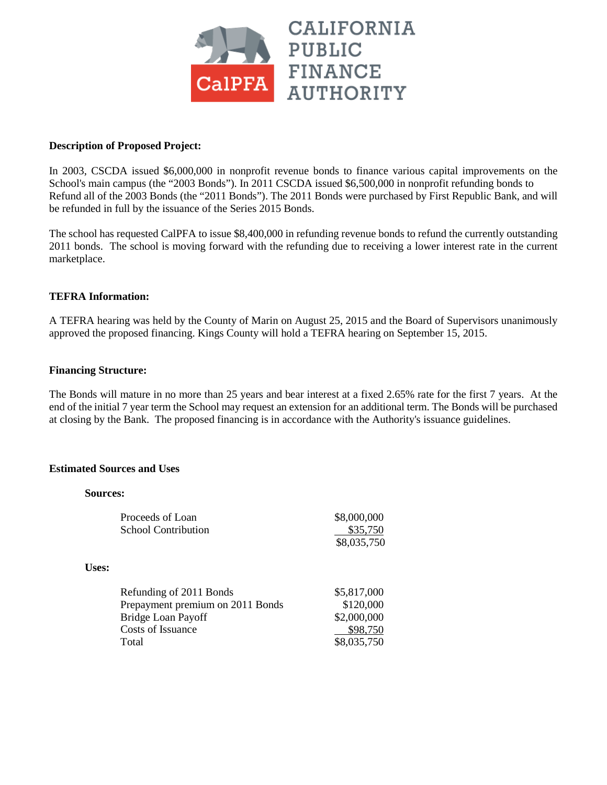

#### **Description of Proposed Project:**

In 2003, CSCDA issued \$6,000,000 in nonprofit revenue bonds to finance various capital improvements on the School's main campus (the "2003 Bonds"). In 2011 CSCDA issued \$6,500,000 in nonprofit refunding bonds to Refund all of the 2003 Bonds (the "2011 Bonds"). The 2011 Bonds were purchased by First Republic Bank, and will be refunded in full by the issuance of the Series 2015 Bonds.

The school has requested CalPFA to issue \$8,400,000 in refunding revenue bonds to refund the currently outstanding 2011 bonds. The school is moving forward with the refunding due to receiving a lower interest rate in the current marketplace.

#### **TEFRA Information:**

A TEFRA hearing was held by the County of Marin on August 25, 2015 and the Board of Supervisors unanimously approved the proposed financing. Kings County will hold a TEFRA hearing on September 15, 2015.

#### **Financing Structure:**

The Bonds will mature in no more than 25 years and bear interest at a fixed 2.65% rate for the first 7 years. At the end of the initial 7 year term the School may request an extension for an additional term. The Bonds will be purchased at closing by the Bank. The proposed financing is in accordance with the Authority's issuance guidelines.

#### **Estimated Sources and Uses**

#### **Sources:**

**Uses:**

| Proceeds of Loan<br><b>School Contribution</b> | \$8,000,000<br>\$35,750 |  |
|------------------------------------------------|-------------------------|--|
|                                                | \$8,035,750             |  |
|                                                |                         |  |
| Refunding of 2011 Bonds                        | \$5,817,000             |  |
| Prepayment premium on 2011 Bonds               | \$120,000               |  |
| Bridge Loan Payoff                             | \$2,000,000             |  |
| Costs of Issuance                              | \$98,750                |  |
| Total                                          | \$8,035,750             |  |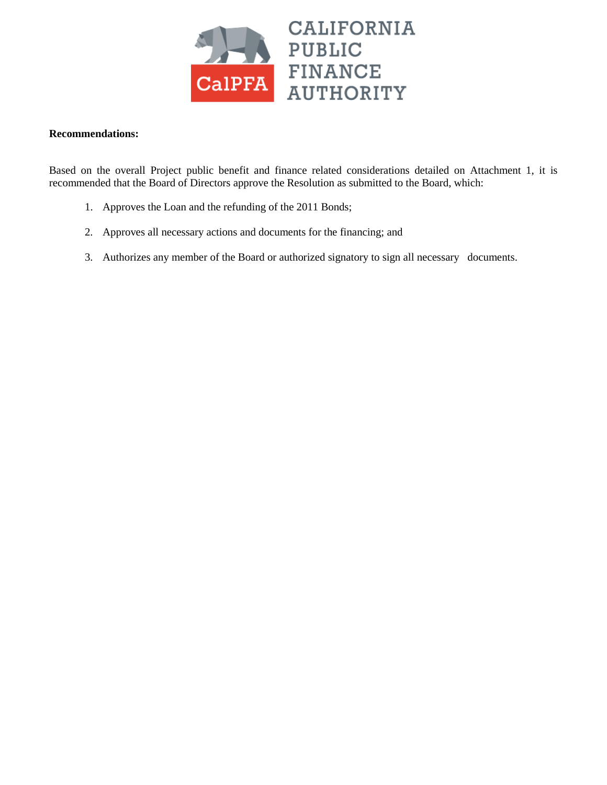

#### **Recommendations:**

Based on the overall Project public benefit and finance related considerations detailed on Attachment 1, it is recommended that the Board of Directors approve the Resolution as submitted to the Board, which:

- 1. Approves the Loan and the refunding of the 2011 Bonds;
- 2. Approves all necessary actions and documents for the financing; and
- 3. Authorizes any member of the Board or authorized signatory to sign all necessary documents.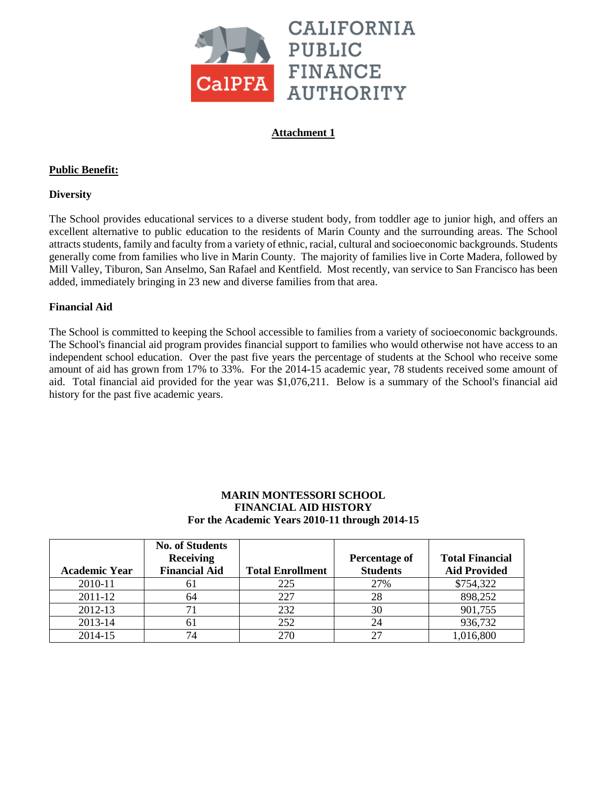

## **Attachment 1**

## **Public Benefit:**

## **Diversity**

The School provides educational services to a diverse student body, from toddler age to junior high, and offers an excellent alternative to public education to the residents of Marin County and the surrounding areas. The School attracts students, family and faculty from a variety of ethnic, racial, cultural and socioeconomic backgrounds. Students generally come from families who live in Marin County. The majority of families live in Corte Madera, followed by Mill Valley, Tiburon, San Anselmo, San Rafael and Kentfield. Most recently, van service to San Francisco has been added, immediately bringing in 23 new and diverse families from that area.

### **Financial Aid**

The School is committed to keeping the School accessible to families from a variety of socioeconomic backgrounds. The School's financial aid program provides financial support to families who would otherwise not have access to an independent school education. Over the past five years the percentage of students at the School who receive some amount of aid has grown from 17% to 33%. For the 2014-15 academic year, 78 students received some amount of aid. Total financial aid provided for the year was \$1,076,211. Below is a summary of the School's financial aid history for the past five academic years.

### **MARIN MONTESSORI SCHOOL FINANCIAL AID HISTORY For the Academic Years 2010-11 through 2014-15**

|                      | <b>No. of Students</b> |                         |                 |                        |
|----------------------|------------------------|-------------------------|-----------------|------------------------|
|                      | <b>Receiving</b>       |                         | Percentage of   | <b>Total Financial</b> |
| <b>Academic Year</b> | <b>Financial Aid</b>   | <b>Total Enrollment</b> | <b>Students</b> | <b>Aid Provided</b>    |
| 2010-11              | 61                     | 225                     | 27%             | \$754,322              |
| 2011-12              | 64                     | 227                     | 28              | 898,252                |
| 2012-13              | 71                     | 232                     | 30              | 901,755                |
| 2013-14              | 61                     | 252                     | 24              | 936,732                |
| 2014-15              | 74                     | 270                     | 27              | 1,016,800              |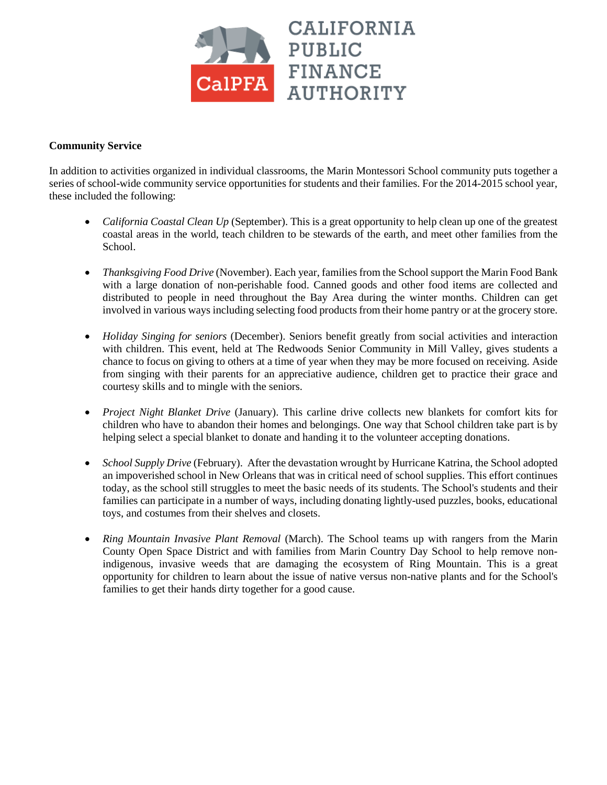

## **Community Service**

In addition to activities organized in individual classrooms, the Marin Montessori School community puts together a series of school-wide community service opportunities for students and their families. For the 2014-2015 school year, these included the following:

- *California Coastal Clean Up* (September). This is a great opportunity to help clean up one of the greatest coastal areas in the world, teach children to be stewards of the earth, and meet other families from the School.
- *Thanksgiving Food Drive* (November). Each year, families from the School support the Marin Food Bank with a large donation of non-perishable food. Canned goods and other food items are collected and distributed to people in need throughout the Bay Area during the winter months. Children can get involved in various ways including selecting food products from their home pantry or at the grocery store.
- *Holiday Singing for seniors* (December). Seniors benefit greatly from social activities and interaction with children. This event, held at The Redwoods Senior Community in Mill Valley, gives students a chance to focus on giving to others at a time of year when they may be more focused on receiving. Aside from singing with their parents for an appreciative audience, children get to practice their grace and courtesy skills and to mingle with the seniors.
- *Project Night Blanket Drive* (January). This carline drive collects new blankets for comfort kits for children who have to abandon their homes and belongings. One way that School children take part is by helping select a special blanket to donate and handing it to the volunteer accepting donations.
- *School Supply Drive* (February). After the devastation wrought by Hurricane Katrina, the School adopted an impoverished school in New Orleans that was in critical need of school supplies. This effort continues today, as the school still struggles to meet the basic needs of its students. The School's students and their families can participate in a number of ways, including donating lightly-used puzzles, books, educational toys, and costumes from their shelves and closets.
- *Ring Mountain Invasive Plant Removal* (March). The School teams up with rangers from the Marin County Open Space District and with families from Marin Country Day School to help remove nonindigenous, invasive weeds that are damaging the ecosystem of Ring Mountain. This is a great opportunity for children to learn about the issue of native versus non-native plants and for the School's families to get their hands dirty together for a good cause.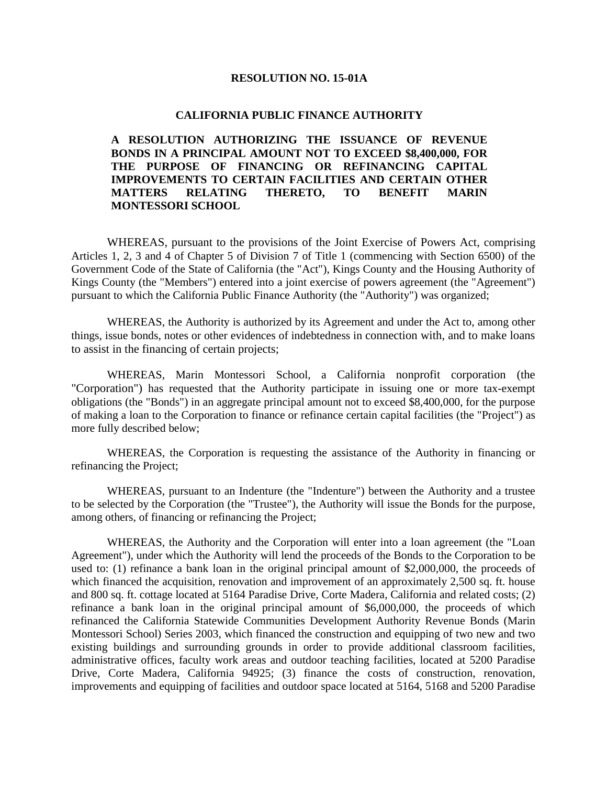#### **RESOLUTION NO. 15-01A**

#### **CALIFORNIA PUBLIC FINANCE AUTHORITY**

**A RESOLUTION AUTHORIZING THE ISSUANCE OF REVENUE BONDS IN A PRINCIPAL AMOUNT NOT TO EXCEED \$8,400,000, FOR THE PURPOSE OF FINANCING OR REFINANCING CAPITAL IMPROVEMENTS TO CERTAIN FACILITIES AND CERTAIN OTHER MATTERS RELATING THERETO, TO BENEFIT MARIN MONTESSORI SCHOOL**

WHEREAS, pursuant to the provisions of the Joint Exercise of Powers Act, comprising Articles 1, 2, 3 and 4 of Chapter 5 of Division 7 of Title 1 (commencing with Section 6500) of the Government Code of the State of California (the "Act"), Kings County and the Housing Authority of Kings County (the "Members") entered into a joint exercise of powers agreement (the "Agreement") pursuant to which the California Public Finance Authority (the "Authority") was organized;

WHEREAS, the Authority is authorized by its Agreement and under the Act to, among other things, issue bonds, notes or other evidences of indebtedness in connection with, and to make loans to assist in the financing of certain projects;

WHEREAS, Marin Montessori School, a California nonprofit corporation (the "Corporation") has requested that the Authority participate in issuing one or more tax-exempt obligations (the "Bonds") in an aggregate principal amount not to exceed \$8,400,000, for the purpose of making a loan to the Corporation to finance or refinance certain capital facilities (the "Project") as more fully described below;

WHEREAS, the Corporation is requesting the assistance of the Authority in financing or refinancing the Project;

WHEREAS, pursuant to an Indenture (the "Indenture") between the Authority and a trustee to be selected by the Corporation (the "Trustee"), the Authority will issue the Bonds for the purpose, among others, of financing or refinancing the Project;

WHEREAS, the Authority and the Corporation will enter into a loan agreement (the "Loan Agreement"), under which the Authority will lend the proceeds of the Bonds to the Corporation to be used to: (1) refinance a bank loan in the original principal amount of \$2,000,000, the proceeds of which financed the acquisition, renovation and improvement of an approximately 2,500 sq. ft. house and 800 sq. ft. cottage located at 5164 Paradise Drive, Corte Madera, California and related costs; (2) refinance a bank loan in the original principal amount of \$6,000,000, the proceeds of which refinanced the California Statewide Communities Development Authority Revenue Bonds (Marin Montessori School) Series 2003, which financed the construction and equipping of two new and two existing buildings and surrounding grounds in order to provide additional classroom facilities, administrative offices, faculty work areas and outdoor teaching facilities, located at 5200 Paradise Drive, Corte Madera, California 94925; (3) finance the costs of construction, renovation, improvements and equipping of facilities and outdoor space located at 5164, 5168 and 5200 Paradise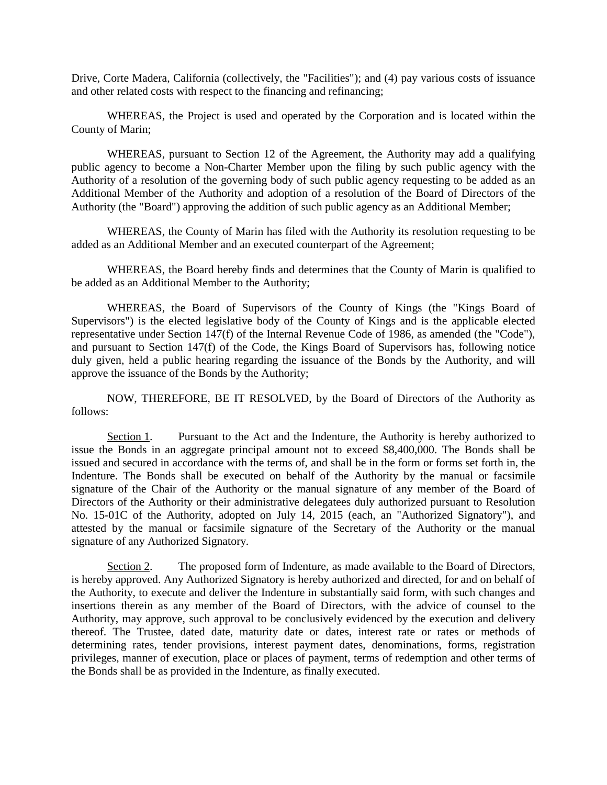Drive, Corte Madera, California (collectively, the "Facilities"); and (4) pay various costs of issuance and other related costs with respect to the financing and refinancing;

WHEREAS, the Project is used and operated by the Corporation and is located within the County of Marin;

WHEREAS, pursuant to Section 12 of the Agreement, the Authority may add a qualifying public agency to become a Non-Charter Member upon the filing by such public agency with the Authority of a resolution of the governing body of such public agency requesting to be added as an Additional Member of the Authority and adoption of a resolution of the Board of Directors of the Authority (the "Board") approving the addition of such public agency as an Additional Member;

WHEREAS, the County of Marin has filed with the Authority its resolution requesting to be added as an Additional Member and an executed counterpart of the Agreement;

WHEREAS, the Board hereby finds and determines that the County of Marin is qualified to be added as an Additional Member to the Authority;

WHEREAS, the Board of Supervisors of the County of Kings (the "Kings Board of Supervisors") is the elected legislative body of the County of Kings and is the applicable elected representative under Section 147(f) of the Internal Revenue Code of 1986, as amended (the "Code"), and pursuant to Section 147(f) of the Code, the Kings Board of Supervisors has, following notice duly given, held a public hearing regarding the issuance of the Bonds by the Authority, and will approve the issuance of the Bonds by the Authority;

NOW, THEREFORE, BE IT RESOLVED, by the Board of Directors of the Authority as follows:

Section 1. Pursuant to the Act and the Indenture, the Authority is hereby authorized to issue the Bonds in an aggregate principal amount not to exceed \$8,400,000. The Bonds shall be issued and secured in accordance with the terms of, and shall be in the form or forms set forth in, the Indenture. The Bonds shall be executed on behalf of the Authority by the manual or facsimile signature of the Chair of the Authority or the manual signature of any member of the Board of Directors of the Authority or their administrative delegatees duly authorized pursuant to Resolution No. 15-01C of the Authority, adopted on July 14, 2015 (each, an "Authorized Signatory"), and attested by the manual or facsimile signature of the Secretary of the Authority or the manual signature of any Authorized Signatory.

Section 2. The proposed form of Indenture, as made available to the Board of Directors, is hereby approved. Any Authorized Signatory is hereby authorized and directed, for and on behalf of the Authority, to execute and deliver the Indenture in substantially said form, with such changes and insertions therein as any member of the Board of Directors, with the advice of counsel to the Authority, may approve, such approval to be conclusively evidenced by the execution and delivery thereof. The Trustee, dated date, maturity date or dates, interest rate or rates or methods of determining rates, tender provisions, interest payment dates, denominations, forms, registration privileges, manner of execution, place or places of payment, terms of redemption and other terms of the Bonds shall be as provided in the Indenture, as finally executed.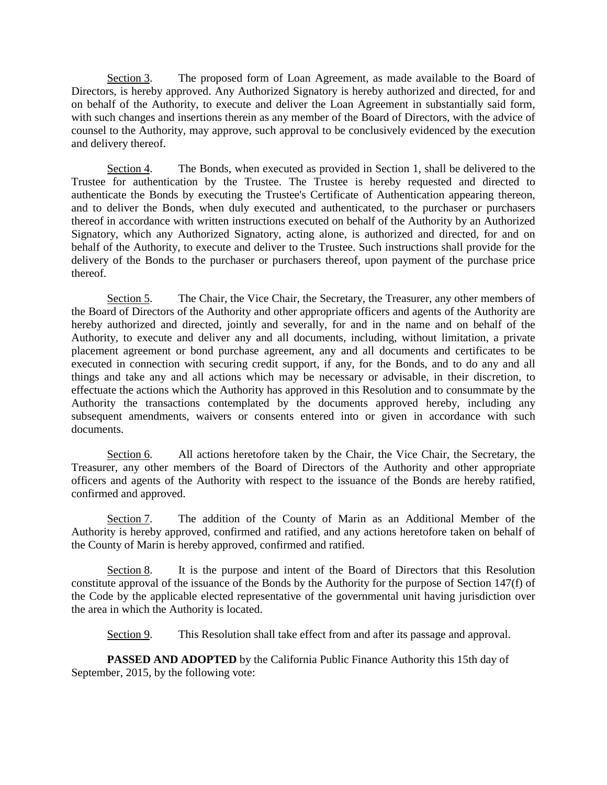Section 3. The proposed form of Loan Agreement, as made available to the Board of Directors, is hereby approved. Any Authorized Signatory is hereby authorized and directed, for and on behalf of the Authority, to execute and deliver the Loan Agreement in substantially said form, with such changes and insertions therein as any member of the Board of Directors, with the advice of counsel to the Authority, may approve, such approval to be conclusively evidenced by the execution and delivery thereof.

Section 4. The Bonds, when executed as provided in Section 1, shall be delivered to the Trustee for authentication by the Trustee. The Trustee is hereby requested and directed to authenticate the Bonds by executing the Trustee's Certificate of Authentication appearing thereon, and to deliver the Bonds, when duly executed and authenticated, to the purchaser or purchasers thereof in accordance with written instructions executed on behalf of the Authority by an Authorized Signatory, which any Authorized Signatory, acting alone, is authorized and directed, for and on behalf of the Authority, to execute and deliver to the Trustee. Such instructions shall provide for the delivery of the Bonds to the purchaser or purchasers thereof, upon payment of the purchase price thereof.

Section 5. The Chair, the Vice Chair, the Secretary, the Treasurer, any other members of the Board of Directors of the Authority and other appropriate officers and agents of the Authority are hereby authorized and directed, jointly and severally, for and in the name and on behalf of the Authority, to execute and deliver any and all documents, including, without limitation, a private placement agreement or bond purchase agreement, any and all documents and certificates to be executed in connection with securing credit support, if any, for the Bonds, and to do any and all things and take any and all actions which may be necessary or advisable, in their discretion, to effectuate the actions which the Authority has approved in this Resolution and to consummate by the Authority the transactions contemplated by the documents approved hereby, including any subsequent amendments, waivers or consents entered into or given in accordance with such documents.

Section 6. All actions heretofore taken by the Chair, the Vice Chair, the Secretary, the Treasurer, any other members of the Board of Directors of the Authority and other appropriate officers and agents of the Authority with respect to the issuance of the Bonds are hereby ratified, confirmed and approved.

Section 7. The addition of the County of Marin as an Additional Member of the Authority is hereby approved, confirmed and ratified, and any actions heretofore taken on behalf of the County of Marin is hereby approved, confirmed and ratified.

Section 8. It is the purpose and intent of the Board of Directors that this Resolution constitute approval of the issuance of the Bonds by the Authority for the purpose of Section 147(f) of the Code by the applicable elected representative of the governmental unit having jurisdiction over the area in which the Authority is located.

Section 9. This Resolution shall take effect from and after its passage and approval.

**PASSED AND ADOPTED** by the California Public Finance Authority this 15th day of September, 2015, by the following vote: